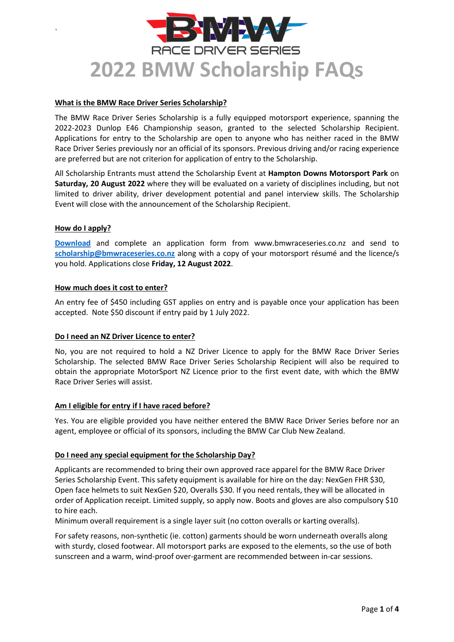# RACE DRIVER SERIES **2022 BMW Scholarship FAQs**

#### **What is the BMW Race Driver Series Scholarship?**

The BMW Race Driver Series Scholarship is a fully equipped motorsport experience, spanning the 2022-2023 Dunlop E46 Championship season, granted to the selected Scholarship Recipient. Applications for entry to the Scholarship are open to anyone who has neither raced in the BMW Race Driver Series previously nor an official of its sponsors. Previous driving and/or racing experience are preferred but are not criterion for application of entry to the Scholarship.

All Scholarship Entrants must attend the Scholarship Event at **Hampton Downs Motorsport Park** on **Saturday, 20 August 2022** where they will be evaluated on a variety of disciplines including, but not limited to driver ability, driver development potential and panel interview skills. The Scholarship Event will close with the announcement of the Scholarship Recipient.

#### **How do I apply?**

`

**[Download](https://bmwraceseries.co.nz/wp-content/uploads/2022/06/2022-BMWRDS-Scholarship-Application-Form.pdf)** and complete an application form from www.bmwraceseries.co.nz and send to **[scholarship@bmwraceseries.co.nz](mailto:scholarship@bmwraceseries.co.nz)** along with a copy of your motorsport résumé and the licence/s you hold. Applications close **Friday, 12 August 2022**.

#### **How much does it cost to enter?**

An entry fee of \$450 including GST applies on entry and is payable once your application has been accepted. Note \$50 discount if entry paid by 1 July 2022.

#### **Do I need an NZ Driver Licence to enter?**

No, you are not required to hold a NZ Driver Licence to apply for the BMW Race Driver Series Scholarship. The selected BMW Race Driver Series Scholarship Recipient will also be required to obtain the appropriate MotorSport NZ Licence prior to the first event date, with which the BMW Race Driver Series will assist.

#### **Am I eligible for entry if I have raced before?**

Yes. You are eligible provided you have neither entered the BMW Race Driver Series before nor an agent, employee or official of its sponsors, including the BMW Car Club New Zealand.

#### **Do I need any special equipment for the Scholarship Day?**

Applicants are recommended to bring their own approved race apparel for the BMW Race Driver Series Scholarship Event. This safety equipment is available for hire on the day: NexGen FHR \$30, Open face helmets to suit NexGen \$20, Overalls \$30. If you need rentals, they will be allocated in order of Application receipt. Limited supply, so apply now. Boots and gloves are also compulsory \$10 to hire each.

Minimum overall requirement is a single layer suit (no cotton overalls or karting overalls).

For safety reasons, non-synthetic (ie. cotton) garments should be worn underneath overalls along with sturdy, closed footwear. All motorsport parks are exposed to the elements, so the use of both sunscreen and a warm, wind-proof over-garment are recommended between in-car sessions.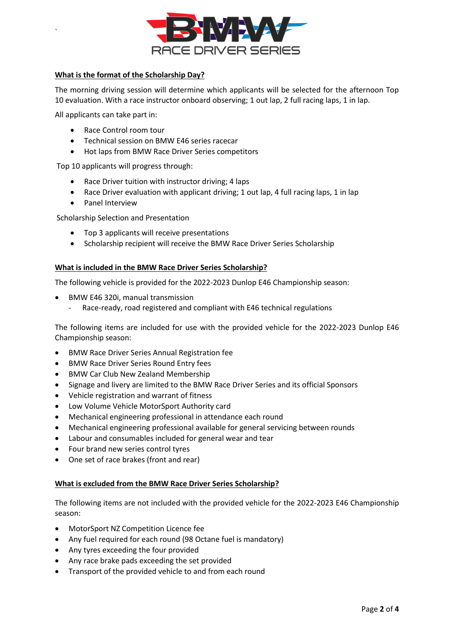

### **What is the format of the Scholarship Day?**

The morning driving session will determine which applicants will be selected for the afternoon Top 10 evaluation. With a race instructor onboard observing; 1 out lap, 2 full racing laps, 1 in lap.

All applicants can take part in:

`

- Race Control room tour
- Technical session on BMW E46 series racecar
- Hot laps from BMW Race Driver Series competitors

Top 10 applicants will progress through:

- Race Driver tuition with instructor driving; 4 laps
- Race Driver evaluation with applicant driving; 1 out lap, 4 full racing laps, 1 in lap
- Panel Interview

Scholarship Selection and Presentation

- Top 3 applicants will receive presentations
- Scholarship recipient will receive the BMW Race Driver Series Scholarship

#### **What is included in the BMW Race Driver Series Scholarship?**

The following vehicle is provided for the 2022-2023 Dunlop E46 Championship season:

- BMW E46 320i, manual transmission
	- Race-ready, road registered and compliant with E46 technical regulations

The following items are included for use with the provided vehicle for the 2022-2023 Dunlop E46 Championship season:

- BMW Race Driver Series Annual Registration fee
- BMW Race Driver Series Round Entry fees
- BMW Car Club New Zealand Membership
- Signage and livery are limited to the BMW Race Driver Series and its official Sponsors
- Vehicle registration and warrant of fitness
- Low Volume Vehicle MotorSport Authority card
- Mechanical engineering professional in attendance each round
- Mechanical engineering professional available for general servicing between rounds
- Labour and consumables included for general wear and tear
- Four brand new series control tyres
- One set of race brakes (front and rear)

#### **What is excluded from the BMW Race Driver Series Scholarship?**

The following items are not included with the provided vehicle for the 2022-2023 E46 Championship season:

- MotorSport NZ Competition Licence fee
- Any fuel required for each round (98 Octane fuel is mandatory)
- Any tyres exceeding the four provided
- Any race brake pads exceeding the set provided
- Transport of the provided vehicle to and from each round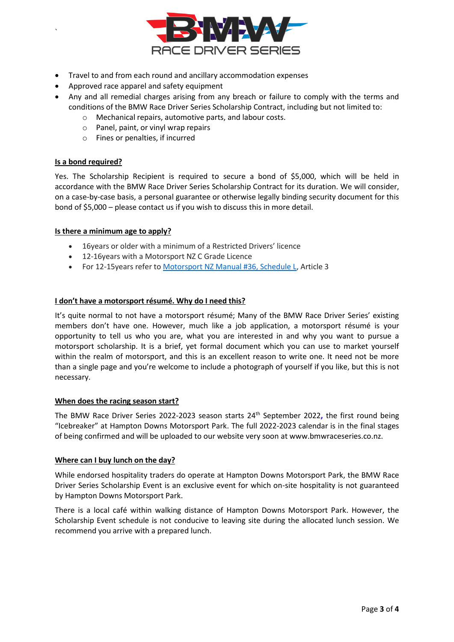

- Travel to and from each round and ancillary accommodation expenses
- Approved race apparel and safety equipment
- Any and all remedial charges arising from any breach or failure to comply with the terms and conditions of the BMW Race Driver Series Scholarship Contract, including but not limited to:
	- o Mechanical repairs, automotive parts, and labour costs.
	- o Panel, paint, or vinyl wrap repairs
	- o Fines or penalties, if incurred

#### **Is a bond required?**

`

Yes. The Scholarship Recipient is required to secure a bond of \$5,000, which will be held in accordance with the BMW Race Driver Series Scholarship Contract for its duration. We will consider, on a case-by-case basis, a personal guarantee or otherwise legally binding security document for this bond of \$5,000 – please contact us if you wish to discuss this in more detail.

#### **Is there a minimum age to apply?**

- 16years or older with a minimum of a Restricted Drivers' licence
- 12-16years with a Motorsport NZ C Grade Licence
- For 12-15 years refer t[o Motorsport NZ Manual #36, Schedule L,](https://manual.motorsport.org.nz/index.php/knowledgebase/36-1-6-schedule-l/) Article 3

#### **I don't have a motorsport résumé. Why do I need this?**

It's quite normal to not have a motorsport résumé; Many of the BMW Race Driver Series' existing members don't have one. However, much like a job application, a motorsport résumé is your opportunity to tell us who you are, what you are interested in and why you want to pursue a motorsport scholarship. It is a brief, yet formal document which you can use to market yourself within the realm of motorsport, and this is an excellent reason to write one. It need not be more than a single page and you're welcome to include a photograph of yourself if you like, but this is not necessary.

#### **When does the racing season start?**

The BMW Race Driver Series 2022-2023 season starts 24th September 2022**,** the first round being "Icebreaker" at Hampton Downs Motorsport Park. The full 2022-2023 calendar is in the final stages of being confirmed and will be uploaded to our website very soon at www.bmwraceseries.co.nz.

#### **Where can I buy lunch on the day?**

While endorsed hospitality traders do operate at Hampton Downs Motorsport Park, the BMW Race Driver Series Scholarship Event is an exclusive event for which on-site hospitality is not guaranteed by Hampton Downs Motorsport Park.

There is a local café within walking distance of Hampton Downs Motorsport Park. However, the Scholarship Event schedule is not conducive to leaving site during the allocated lunch session. We recommend you arrive with a prepared lunch.